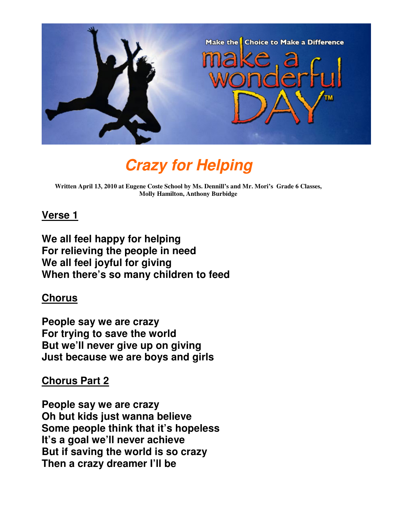

# **Crazy for Helping**

**Written April 13, 2010 at Eugene Coste School by Ms. Dennill's and Mr. Mori's Grade 6 Classes, Molly Hamilton, Anthony Burbidge** 

#### **Verse 1**

**We all feel happy for helping For relieving the people in need We all feel joyful for giving When there's so many children to feed** 

#### **Chorus**

**People say we are crazy For trying to save the world But we'll never give up on giving Just because we are boys and girls** 

# **Chorus Part 2**

**People say we are crazy Oh but kids just wanna believe Some people think that it's hopeless It's a goal we'll never achieve But if saving the world is so crazy Then a crazy dreamer I'll be**